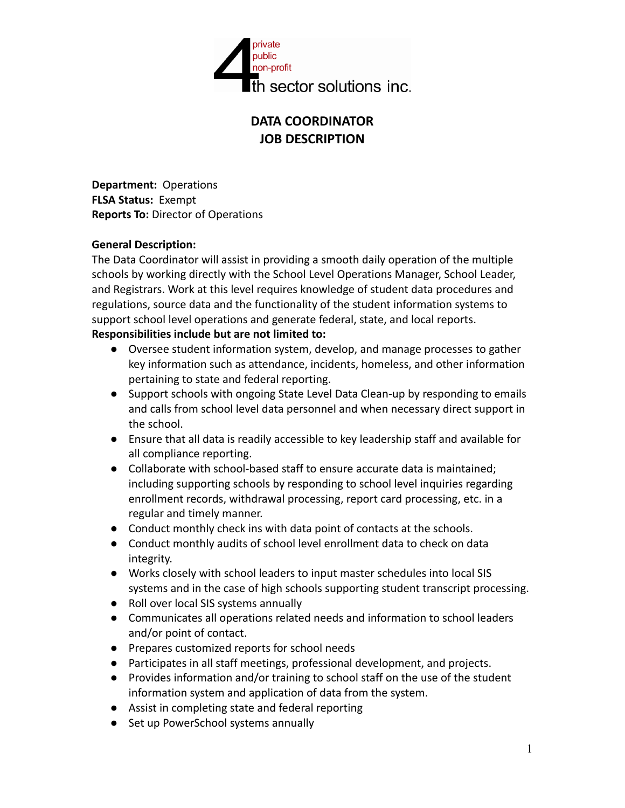

## **DATA COORDINATOR JOB DESCRIPTION**

**Department:** Operations **FLSA Status:** Exempt **Reports To:** Director of Operations

### **General Description:**

The Data Coordinator will assist in providing a smooth daily operation of the multiple schools by working directly with the School Level Operations Manager, School Leader, and Registrars. Work at this level requires knowledge of student data procedures and regulations, source data and the functionality of the student information systems to support school level operations and generate federal, state, and local reports.

# **Responsibilities include but are not limited to:**

- Oversee student information system, develop, and manage processes to gather key information such as attendance, incidents, homeless, and other information pertaining to state and federal reporting.
- Support schools with ongoing State Level Data Clean-up by responding to emails and calls from school level data personnel and when necessary direct support in the school.
- Ensure that all data is readily accessible to key leadership staff and available for all compliance reporting.
- Collaborate with school-based staff to ensure accurate data is maintained; including supporting schools by responding to school level inquiries regarding enrollment records, withdrawal processing, report card processing, etc. in a regular and timely manner.
- Conduct monthly check ins with data point of contacts at the schools.
- Conduct monthly audits of school level enrollment data to check on data integrity.
- Works closely with school leaders to input master schedules into local SIS systems and in the case of high schools supporting student transcript processing.
- Roll over local SIS systems annually
- Communicates all operations related needs and information to school leaders and/or point of contact.
- Prepares customized reports for school needs
- Participates in all staff meetings, professional development, and projects.
- Provides information and/or training to school staff on the use of the student information system and application of data from the system.
- Assist in completing state and federal reporting
- Set up PowerSchool systems annually